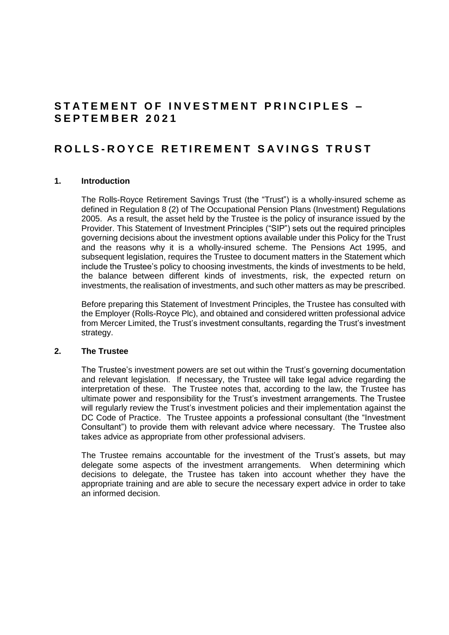# **STATEMENT OF INVESTMENT PRINCIPLES -S E P T E M B E R 2 0 2 1**

# **R O L L S - R O Y C E R E T I R E M E N T S A V I N G S T R U S T**

#### **1. Introduction**

The Rolls-Royce Retirement Savings Trust (the "Trust") is a wholly-insured scheme as defined in Regulation 8 (2) of The Occupational Pension Plans (Investment) Regulations 2005. As a result, the asset held by the Trustee is the policy of insurance issued by the Provider. This Statement of Investment Principles ("SIP") sets out the required principles governing decisions about the investment options available under this Policy for the Trust and the reasons why it is a wholly-insured scheme. The Pensions Act 1995, and subsequent legislation, requires the Trustee to document matters in the Statement which include the Trustee's policy to choosing investments, the kinds of investments to be held, the balance between different kinds of investments, risk, the expected return on investments, the realisation of investments, and such other matters as may be prescribed.

Before preparing this Statement of Investment Principles, the Trustee has consulted with the Employer (Rolls-Royce Plc), and obtained and considered written professional advice from Mercer Limited, the Trust's investment consultants, regarding the Trust's investment strategy.

# **2. The Trustee**

The Trustee's investment powers are set out within the Trust's governing documentation and relevant legislation. If necessary, the Trustee will take legal advice regarding the interpretation of these. The Trustee notes that, according to the law, the Trustee has ultimate power and responsibility for the Trust's investment arrangements. The Trustee will regularly review the Trust's investment policies and their implementation against the DC Code of Practice. The Trustee appoints a professional consultant (the "Investment Consultant") to provide them with relevant advice where necessary. The Trustee also takes advice as appropriate from other professional advisers.

The Trustee remains accountable for the investment of the Trust's assets, but may delegate some aspects of the investment arrangements. When determining which decisions to delegate, the Trustee has taken into account whether they have the appropriate training and are able to secure the necessary expert advice in order to take an informed decision.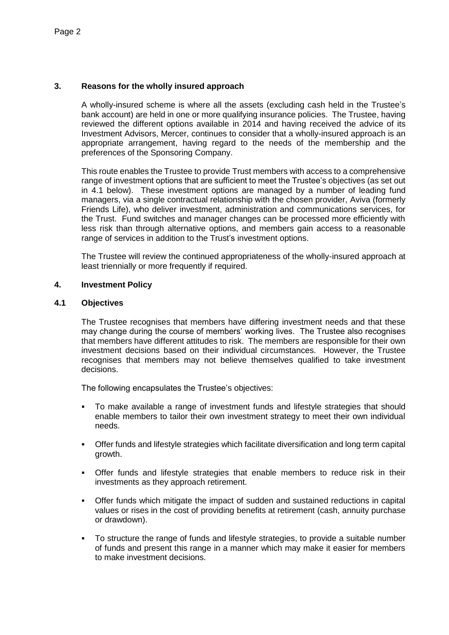# **3. Reasons for the wholly insured approach**

A wholly-insured scheme is where all the assets (excluding cash held in the Trustee's bank account) are held in one or more qualifying insurance policies. The Trustee, having reviewed the different options available in 2014 and having received the advice of its Investment Advisors, Mercer, continues to consider that a wholly-insured approach is an appropriate arrangement, having regard to the needs of the membership and the preferences of the Sponsoring Company.

This route enables the Trustee to provide Trust members with access to a comprehensive range of investment options that are sufficient to meet the Trustee's objectives (as set out in 4.1 below). These investment options are managed by a number of leading fund managers, via a single contractual relationship with the chosen provider, Aviva (formerly Friends Life), who deliver investment, administration and communications services, for the Trust. Fund switches and manager changes can be processed more efficiently with less risk than through alternative options, and members gain access to a reasonable range of services in addition to the Trust's investment options.

The Trustee will review the continued appropriateness of the wholly-insured approach at least triennially or more frequently if required.

#### **4. Investment Policy**

#### **4.1 Objectives**

The Trustee recognises that members have differing investment needs and that these may change during the course of members' working lives. The Trustee also recognises that members have different attitudes to risk. The members are responsible for their own investment decisions based on their individual circumstances. However, the Trustee recognises that members may not believe themselves qualified to take investment decisions.

The following encapsulates the Trustee's objectives:

- To make available a range of investment funds and lifestyle strategies that should enable members to tailor their own investment strategy to meet their own individual needs.
- Offer funds and lifestyle strategies which facilitate diversification and long term capital growth.
- Offer funds and lifestyle strategies that enable members to reduce risk in their investments as they approach retirement.
- Offer funds which mitigate the impact of sudden and sustained reductions in capital values or rises in the cost of providing benefits at retirement (cash, annuity purchase or drawdown).
- To structure the range of funds and lifestyle strategies, to provide a suitable number of funds and present this range in a manner which may make it easier for members to make investment decisions.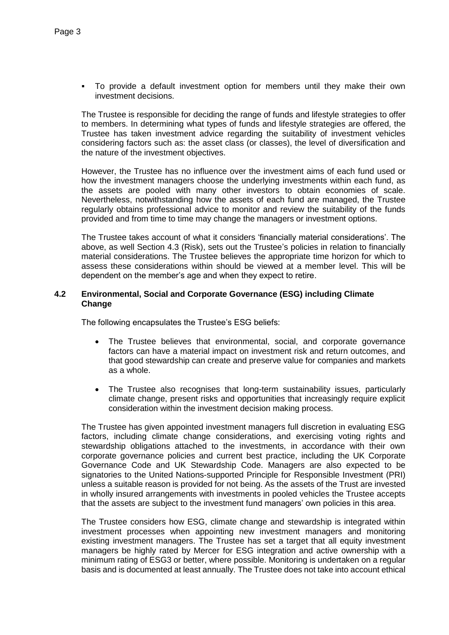To provide a default investment option for members until they make their own investment decisions.

The Trustee is responsible for deciding the range of funds and lifestyle strategies to offer to members. In determining what types of funds and lifestyle strategies are offered, the Trustee has taken investment advice regarding the suitability of investment vehicles considering factors such as: the asset class (or classes), the level of diversification and the nature of the investment objectives.

However, the Trustee has no influence over the investment aims of each fund used or how the investment managers choose the underlying investments within each fund, as the assets are pooled with many other investors to obtain economies of scale. Nevertheless, notwithstanding how the assets of each fund are managed, the Trustee regularly obtains professional advice to monitor and review the suitability of the funds provided and from time to time may change the managers or investment options.

The Trustee takes account of what it considers 'financially material considerations'. The above, as well Section 4.3 (Risk), sets out the Trustee's policies in relation to financially material considerations. The Trustee believes the appropriate time horizon for which to assess these considerations within should be viewed at a member level. This will be dependent on the member's age and when they expect to retire.

### **4.2 Environmental, Social and Corporate Governance (ESG) including Climate Change**

The following encapsulates the Trustee's ESG beliefs:

- The Trustee believes that environmental, social, and corporate governance factors can have a material impact on investment risk and return outcomes, and that good stewardship can create and preserve value for companies and markets as a whole.
- The Trustee also recognises that long-term sustainability issues, particularly climate change, present risks and opportunities that increasingly require explicit consideration within the investment decision making process.

The Trustee has given appointed investment managers full discretion in evaluating ESG factors, including climate change considerations, and exercising voting rights and stewardship obligations attached to the investments, in accordance with their own corporate governance policies and current best practice, including the UK Corporate Governance Code and UK Stewardship Code. Managers are also expected to be signatories to the United Nations-supported Principle for Responsible Investment (PRI) unless a suitable reason is provided for not being. As the assets of the Trust are invested in wholly insured arrangements with investments in pooled vehicles the Trustee accepts that the assets are subject to the investment fund managers' own policies in this area.

The Trustee considers how ESG, climate change and stewardship is integrated within investment processes when appointing new investment managers and monitoring existing investment managers. The Trustee has set a target that all equity investment managers be highly rated by Mercer for ESG integration and active ownership with a minimum rating of ESG3 or better, where possible. Monitoring is undertaken on a regular basis and is documented at least annually. The Trustee does not take into account ethical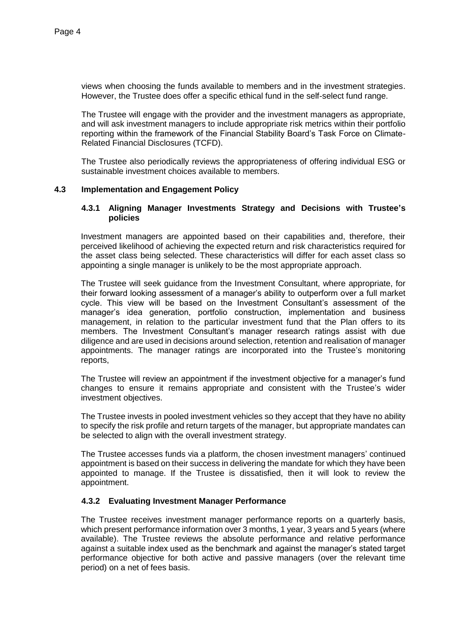views when choosing the funds available to members and in the investment strategies. However, the Trustee does offer a specific ethical fund in the self-select fund range.

The Trustee will engage with the provider and the investment managers as appropriate, and will ask investment managers to include appropriate risk metrics within their portfolio reporting within the framework of the Financial Stability Board's Task Force on Climate-Related Financial Disclosures (TCFD).

The Trustee also periodically reviews the appropriateness of offering individual ESG or sustainable investment choices available to members.

#### **4.3 Implementation and Engagement Policy**

#### **4.3.1 Aligning Manager Investments Strategy and Decisions with Trustee's policies**

Investment managers are appointed based on their capabilities and, therefore, their perceived likelihood of achieving the expected return and risk characteristics required for the asset class being selected. These characteristics will differ for each asset class so appointing a single manager is unlikely to be the most appropriate approach.

The Trustee will seek guidance from the Investment Consultant, where appropriate, for their forward looking assessment of a manager's ability to outperform over a full market cycle. This view will be based on the Investment Consultant's assessment of the manager's idea generation, portfolio construction, implementation and business management, in relation to the particular investment fund that the Plan offers to its members. The Investment Consultant's manager research ratings assist with due diligence and are used in decisions around selection, retention and realisation of manager appointments. The manager ratings are incorporated into the Trustee's monitoring reports,

The Trustee will review an appointment if the investment objective for a manager's fund changes to ensure it remains appropriate and consistent with the Trustee's wider investment objectives.

The Trustee invests in pooled investment vehicles so they accept that they have no ability to specify the risk profile and return targets of the manager, but appropriate mandates can be selected to align with the overall investment strategy.

The Trustee accesses funds via a platform, the chosen investment managers' continued appointment is based on their success in delivering the mandate for which they have been appointed to manage. If the Trustee is dissatisfied, then it will look to review the appointment.

#### **4.3.2 Evaluating Investment Manager Performance**

The Trustee receives investment manager performance reports on a quarterly basis, which present performance information over 3 months, 1 year, 3 years and 5 years (where available). The Trustee reviews the absolute performance and relative performance against a suitable index used as the benchmark and against the manager's stated target performance objective for both active and passive managers (over the relevant time period) on a net of fees basis.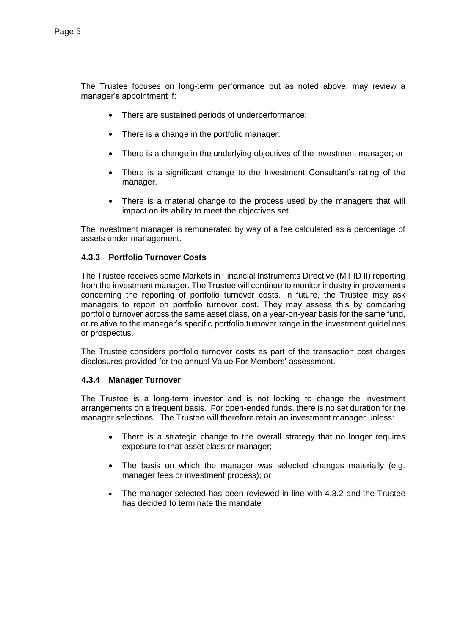The Trustee focuses on long-term performance but as noted above, may review a manager's appointment if:

- There are sustained periods of underperformance;
- There is a change in the portfolio manager;
- There is a change in the underlying objectives of the investment manager; or
- There is a significant change to the Investment Consultant's rating of the manager.
- There is a material change to the process used by the managers that will impact on its ability to meet the objectives set.

The investment manager is remunerated by way of a fee calculated as a percentage of assets under management.

# **4.3.3 Portfolio Turnover Costs**

The Trustee receives some Markets in Financial Instruments Directive (MiFID II) reporting from the investment manager. The Trustee will continue to monitor industry improvements concerning the reporting of portfolio turnover costs. In future, the Trustee may ask managers to report on portfolio turnover cost. They may assess this by comparing portfolio turnover across the same asset class, on a year-on-year basis for the same fund, or relative to the manager's specific portfolio turnover range in the investment guidelines or prospectus.

The Trustee considers portfolio turnover costs as part of the transaction cost charges disclosures provided for the annual Value For Members' assessment.

## **4.3.4 Manager Turnover**

The Trustee is a long-term investor and is not looking to change the investment arrangements on a frequent basis. For open-ended funds, there is no set duration for the manager selections. The Trustee will therefore retain an investment manager unless:

- There is a strategic change to the overall strategy that no longer requires exposure to that asset class or manager;
- The basis on which the manager was selected changes materially (e.g. manager fees or investment process); or
- The manager selected has been reviewed in line with 4.3.2 and the Trustee has decided to terminate the mandate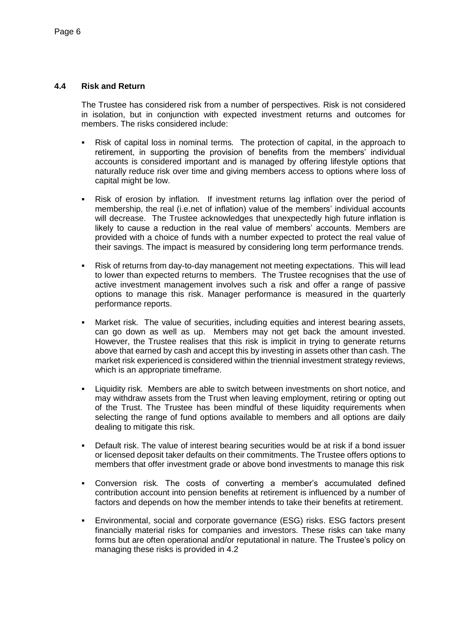### **4.4 Risk and Return**

The Trustee has considered risk from a number of perspectives. Risk is not considered in isolation, but in conjunction with expected investment returns and outcomes for members. The risks considered include:

- Risk of capital loss in nominal terms*.* The protection of capital, in the approach to retirement, in supporting the provision of benefits from the members' individual accounts is considered important and is managed by offering lifestyle options that naturally reduce risk over time and giving members access to options where loss of capital might be low.
- Risk of erosion by inflation*.* If investment returns lag inflation over the period of membership, the real (i.e.net of inflation) value of the members' individual accounts will decrease. The Trustee acknowledges that unexpectedly high future inflation is likely to cause a reduction in the real value of members' accounts. Members are provided with a choice of funds with a number expected to protect the real value of their savings. The impact is measured by considering long term performance trends.
- Risk of returns from day-to-day management not meeting expectations. This will lead to lower than expected returns to members. The Trustee recognises that the use of active investment management involves such a risk and offer a range of passive options to manage this risk. Manager performance is measured in the quarterly performance reports.
- Market risk*.* The value of securities, including equities and interest bearing assets, can go down as well as up. Members may not get back the amount invested. However, the Trustee realises that this risk is implicit in trying to generate returns above that earned by cash and accept this by investing in assets other than cash. The market risk experienced is considered within the triennial investment strategy reviews, which is an appropriate timeframe.
- Liquidity risk*.* Members are able to switch between investments on short notice, and may withdraw assets from the Trust when leaving employment, retiring or opting out of the Trust. The Trustee has been mindful of these liquidity requirements when selecting the range of fund options available to members and all options are daily dealing to mitigate this risk.
- Default risk. The value of interest bearing securities would be at risk if a bond issuer or licensed deposit taker defaults on their commitments. The Trustee offers options to members that offer investment grade or above bond investments to manage this risk
- Conversion risk*.* The costs of converting a member's accumulated defined contribution account into pension benefits at retirement is influenced by a number of factors and depends on how the member intends to take their benefits at retirement.
- Environmental, social and corporate governance (ESG) risks. ESG factors present financially material risks for companies and investors. These risks can take many forms but are often operational and/or reputational in nature. The Trustee's policy on managing these risks is provided in 4.2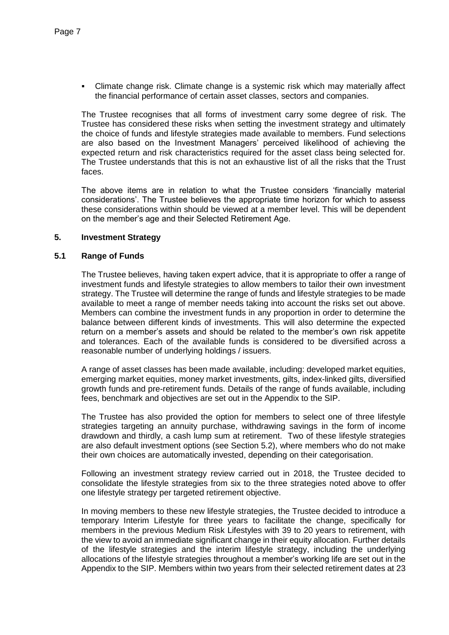Climate change risk. Climate change is a systemic risk which may materially affect the financial performance of certain asset classes, sectors and companies.

The Trustee recognises that all forms of investment carry some degree of risk. The Trustee has considered these risks when setting the investment strategy and ultimately the choice of funds and lifestyle strategies made available to members. Fund selections are also based on the Investment Managers' perceived likelihood of achieving the expected return and risk characteristics required for the asset class being selected for. The Trustee understands that this is not an exhaustive list of all the risks that the Trust faces.

The above items are in relation to what the Trustee considers 'financially material considerations'. The Trustee believes the appropriate time horizon for which to assess these considerations within should be viewed at a member level. This will be dependent on the member's age and their Selected Retirement Age.

#### **5. Investment Strategy**

#### **5.1 Range of Funds**

The Trustee believes, having taken expert advice, that it is appropriate to offer a range of investment funds and lifestyle strategies to allow members to tailor their own investment strategy. The Trustee will determine the range of funds and lifestyle strategies to be made available to meet a range of member needs taking into account the risks set out above. Members can combine the investment funds in any proportion in order to determine the balance between different kinds of investments. This will also determine the expected return on a member's assets and should be related to the member's own risk appetite and tolerances. Each of the available funds is considered to be diversified across a reasonable number of underlying holdings / issuers.

A range of asset classes has been made available, including: developed market equities, emerging market equities, money market investments, gilts, index-linked gilts, diversified growth funds and pre-retirement funds. Details of the range of funds available, including fees, benchmark and objectives are set out in the Appendix to the SIP.

The Trustee has also provided the option for members to select one of three lifestyle strategies targeting an annuity purchase, withdrawing savings in the form of income drawdown and thirdly, a cash lump sum at retirement. Two of these lifestyle strategies are also default investment options (see Section 5.2), where members who do not make their own choices are automatically invested, depending on their categorisation.

Following an investment strategy review carried out in 2018, the Trustee decided to consolidate the lifestyle strategies from six to the three strategies noted above to offer one lifestyle strategy per targeted retirement objective.

In moving members to these new lifestyle strategies, the Trustee decided to introduce a temporary Interim Lifestyle for three years to facilitate the change, specifically for members in the previous Medium Risk Lifestyles with 39 to 20 years to retirement, with the view to avoid an immediate significant change in their equity allocation. Further details of the lifestyle strategies and the interim lifestyle strategy, including the underlying allocations of the lifestyle strategies throughout a member's working life are set out in the Appendix to the SIP. Members within two years from their selected retirement dates at 23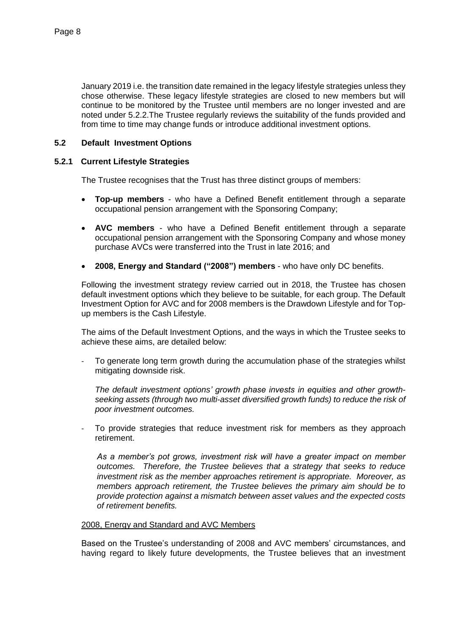January 2019 i.e. the transition date remained in the legacy lifestyle strategies unless they chose otherwise. These legacy lifestyle strategies are closed to new members but will continue to be monitored by the Trustee until members are no longer invested and are noted under 5.2.2.The Trustee regularly reviews the suitability of the funds provided and from time to time may change funds or introduce additional investment options.

## **5.2 Default Investment Options**

### **5.2.1 Current Lifestyle Strategies**

The Trustee recognises that the Trust has three distinct groups of members:

- **Top-up members** who have a Defined Benefit entitlement through a separate occupational pension arrangement with the Sponsoring Company;
- **AVC members** who have a Defined Benefit entitlement through a separate occupational pension arrangement with the Sponsoring Company and whose money purchase AVCs were transferred into the Trust in late 2016; and
- **2008, Energy and Standard ("2008") members** who have only DC benefits.

Following the investment strategy review carried out in 2018, the Trustee has chosen default investment options which they believe to be suitable, for each group. The Default Investment Option for AVC and for 2008 members is the Drawdown Lifestyle and for Topup members is the Cash Lifestyle.

The aims of the Default Investment Options, and the ways in which the Trustee seeks to achieve these aims, are detailed below:

To generate long term growth during the accumulation phase of the strategies whilst mitigating downside risk.

*The default investment options' growth phase invests in equities and other growthseeking assets (through two multi-asset diversified growth funds) to reduce the risk of poor investment outcomes.*

To provide strategies that reduce investment risk for members as they approach retirement.

*As a member's pot grows, investment risk will have a greater impact on member outcomes. Therefore, the Trustee believes that a strategy that seeks to reduce investment risk as the member approaches retirement is appropriate. Moreover, as members approach retirement, the Trustee believes the primary aim should be to provide protection against a mismatch between asset values and the expected costs of retirement benefits.* 

#### 2008, Energy and Standard and AVC Members

Based on the Trustee's understanding of 2008 and AVC members' circumstances, and having regard to likely future developments, the Trustee believes that an investment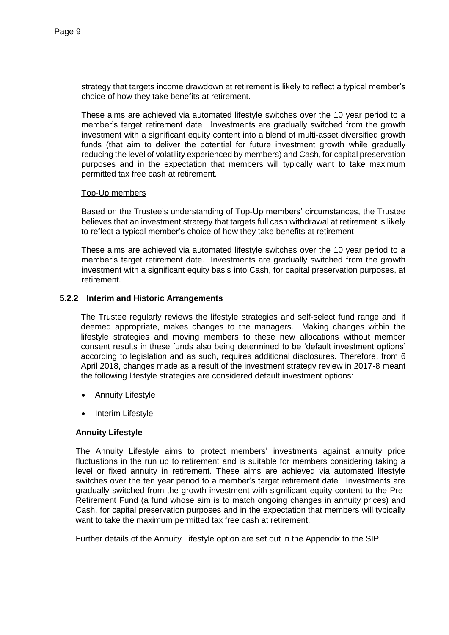strategy that targets income drawdown at retirement is likely to reflect a typical member's choice of how they take benefits at retirement.

These aims are achieved via automated lifestyle switches over the 10 year period to a member's target retirement date. Investments are gradually switched from the growth investment with a significant equity content into a blend of multi-asset diversified growth funds (that aim to deliver the potential for future investment growth while gradually reducing the level of volatility experienced by members) and Cash, for capital preservation purposes and in the expectation that members will typically want to take maximum permitted tax free cash at retirement.

#### Top-Up members

Based on the Trustee's understanding of Top-Up members' circumstances, the Trustee believes that an investment strategy that targets full cash withdrawal at retirement is likely to reflect a typical member's choice of how they take benefits at retirement.

These aims are achieved via automated lifestyle switches over the 10 year period to a member's target retirement date. Investments are gradually switched from the growth investment with a significant equity basis into Cash, for capital preservation purposes, at retirement.

## **5.2.2 Interim and Historic Arrangements**

The Trustee regularly reviews the lifestyle strategies and self-select fund range and, if deemed appropriate, makes changes to the managers. Making changes within the lifestyle strategies and moving members to these new allocations without member consent results in these funds also being determined to be 'default investment options' according to legislation and as such, requires additional disclosures. Therefore, from 6 April 2018, changes made as a result of the investment strategy review in 2017-8 meant the following lifestyle strategies are considered default investment options:

- Annuity Lifestyle
- Interim Lifestyle

## **Annuity Lifestyle**

The Annuity Lifestyle aims to protect members' investments against annuity price fluctuations in the run up to retirement and is suitable for members considering taking a level or fixed annuity in retirement. These aims are achieved via automated lifestyle switches over the ten year period to a member's target retirement date. Investments are gradually switched from the growth investment with significant equity content to the Pre-Retirement Fund (a fund whose aim is to match ongoing changes in annuity prices) and Cash, for capital preservation purposes and in the expectation that members will typically want to take the maximum permitted tax free cash at retirement.

Further details of the Annuity Lifestyle option are set out in the Appendix to the SIP.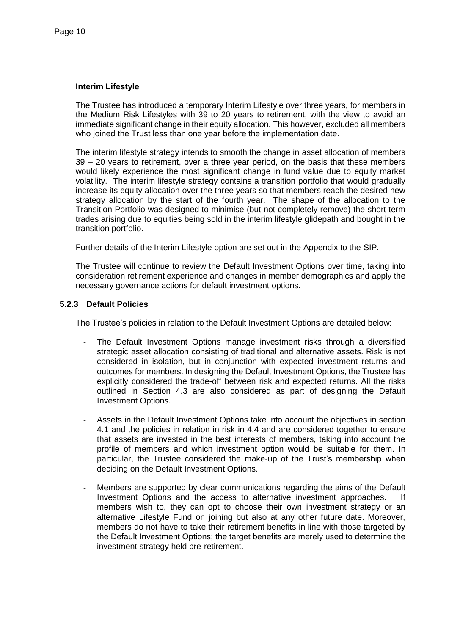#### **Interim Lifestyle**

The Trustee has introduced a temporary Interim Lifestyle over three years, for members in the Medium Risk Lifestyles with 39 to 20 years to retirement, with the view to avoid an immediate significant change in their equity allocation. This however, excluded all members who joined the Trust less than one year before the implementation date.

The interim lifestyle strategy intends to smooth the change in asset allocation of members 39 – 20 years to retirement, over a three year period, on the basis that these members would likely experience the most significant change in fund value due to equity market volatility. The interim lifestyle strategy contains a transition portfolio that would gradually increase its equity allocation over the three years so that members reach the desired new strategy allocation by the start of the fourth year. The shape of the allocation to the Transition Portfolio was designed to minimise (but not completely remove) the short term trades arising due to equities being sold in the interim lifestyle glidepath and bought in the transition portfolio.

Further details of the Interim Lifestyle option are set out in the Appendix to the SIP.

The Trustee will continue to review the Default Investment Options over time, taking into consideration retirement experience and changes in member demographics and apply the necessary governance actions for default investment options.

#### **5.2.3 Default Policies**

The Trustee's policies in relation to the Default Investment Options are detailed below:

- The Default Investment Options manage investment risks through a diversified strategic asset allocation consisting of traditional and alternative assets. Risk is not considered in isolation, but in conjunction with expected investment returns and outcomes for members. In designing the Default Investment Options, the Trustee has explicitly considered the trade-off between risk and expected returns. All the risks outlined in Section 4.3 are also considered as part of designing the Default Investment Options.
- Assets in the Default Investment Options take into account the objectives in section 4.1 and the policies in relation in risk in 4.4 and are considered together to ensure that assets are invested in the best interests of members, taking into account the profile of members and which investment option would be suitable for them. In particular, the Trustee considered the make-up of the Trust's membership when deciding on the Default Investment Options.
- Members are supported by clear communications regarding the aims of the Default Investment Options and the access to alternative investment approaches. If members wish to, they can opt to choose their own investment strategy or an alternative Lifestyle Fund on joining but also at any other future date. Moreover, members do not have to take their retirement benefits in line with those targeted by the Default Investment Options; the target benefits are merely used to determine the investment strategy held pre-retirement.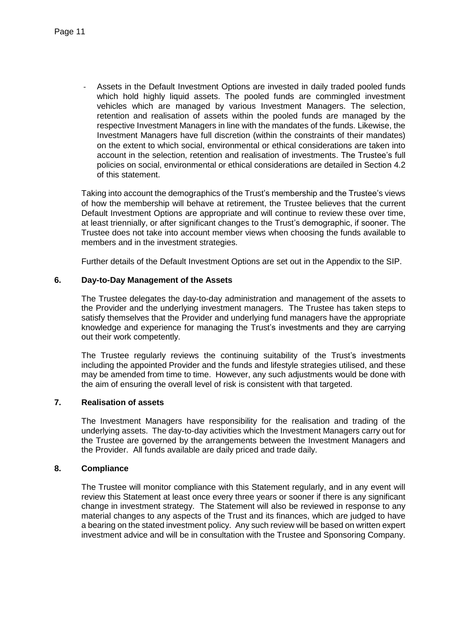Assets in the Default Investment Options are invested in daily traded pooled funds which hold highly liquid assets. The pooled funds are commingled investment vehicles which are managed by various Investment Managers. The selection, retention and realisation of assets within the pooled funds are managed by the respective Investment Managers in line with the mandates of the funds. Likewise, the Investment Managers have full discretion (within the constraints of their mandates) on the extent to which social, environmental or ethical considerations are taken into account in the selection, retention and realisation of investments. The Trustee's full policies on social, environmental or ethical considerations are detailed in Section 4.2 of this statement.

Taking into account the demographics of the Trust's membership and the Trustee's views of how the membership will behave at retirement, the Trustee believes that the current Default Investment Options are appropriate and will continue to review these over time, at least triennially, or after significant changes to the Trust's demographic, if sooner. The Trustee does not take into account member views when choosing the funds available to members and in the investment strategies.

Further details of the Default Investment Options are set out in the Appendix to the SIP.

## **6. Day-to-Day Management of the Assets**

The Trustee delegates the day-to-day administration and management of the assets to the Provider and the underlying investment managers. The Trustee has taken steps to satisfy themselves that the Provider and underlying fund managers have the appropriate knowledge and experience for managing the Trust's investments and they are carrying out their work competently.

The Trustee regularly reviews the continuing suitability of the Trust's investments including the appointed Provider and the funds and lifestyle strategies utilised, and these may be amended from time to time. However, any such adjustments would be done with the aim of ensuring the overall level of risk is consistent with that targeted.

## **7. Realisation of assets**

The Investment Managers have responsibility for the realisation and trading of the underlying assets. The day-to-day activities which the Investment Managers carry out for the Trustee are governed by the arrangements between the Investment Managers and the Provider. All funds available are daily priced and trade daily.

#### **8. Compliance**

The Trustee will monitor compliance with this Statement regularly, and in any event will review this Statement at least once every three years or sooner if there is any significant change in investment strategy. The Statement will also be reviewed in response to any material changes to any aspects of the Trust and its finances, which are judged to have a bearing on the stated investment policy. Any such review will be based on written expert investment advice and will be in consultation with the Trustee and Sponsoring Company.